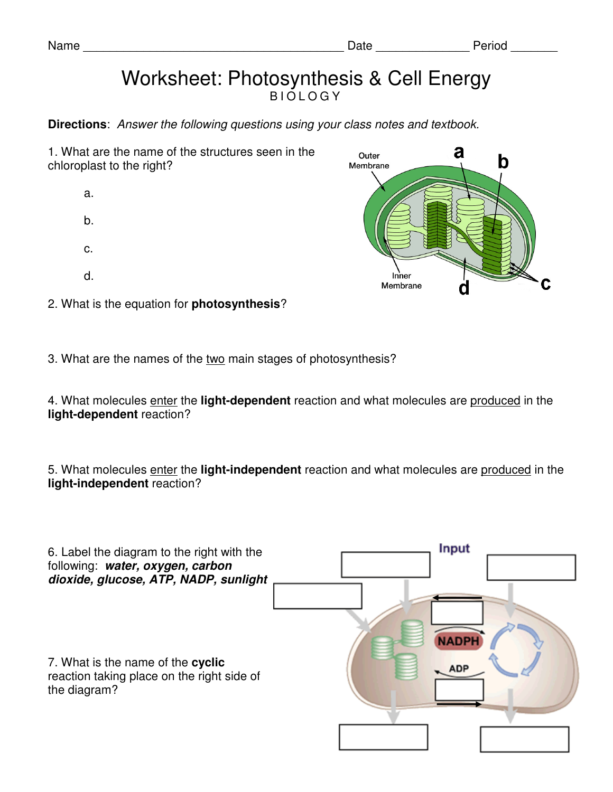## Worksheet: Photosynthesis & Cell Energy **BIOLOGY**

**Directions**: Answer the following questions using your class notes and textbook.

1. What are the name of the structures seen in the chloroplast to the right?

- a. b.
- c.
- d.
- 
- 
- 
- 2. What is the equation for **photosynthesis**?
- 3. What are the names of the two main stages of photosynthesis?

4. What molecules enter the **light-dependent** reaction and what molecules are produced in the **light-dependent** reaction?

5. What molecules enter the **light-independent** reaction and what molecules are produced in the **light-independent** reaction?

| 6. Label the diagram to the right with the<br>following: water, oxygen, carbon<br>dioxide, glucose, ATP, NADP, sunlight | Input                      |
|-------------------------------------------------------------------------------------------------------------------------|----------------------------|
| 7. What is the name of the cyclic<br>reaction taking place on the right side of<br>the diagram?                         | <b>NADPH</b><br><b>ADP</b> |